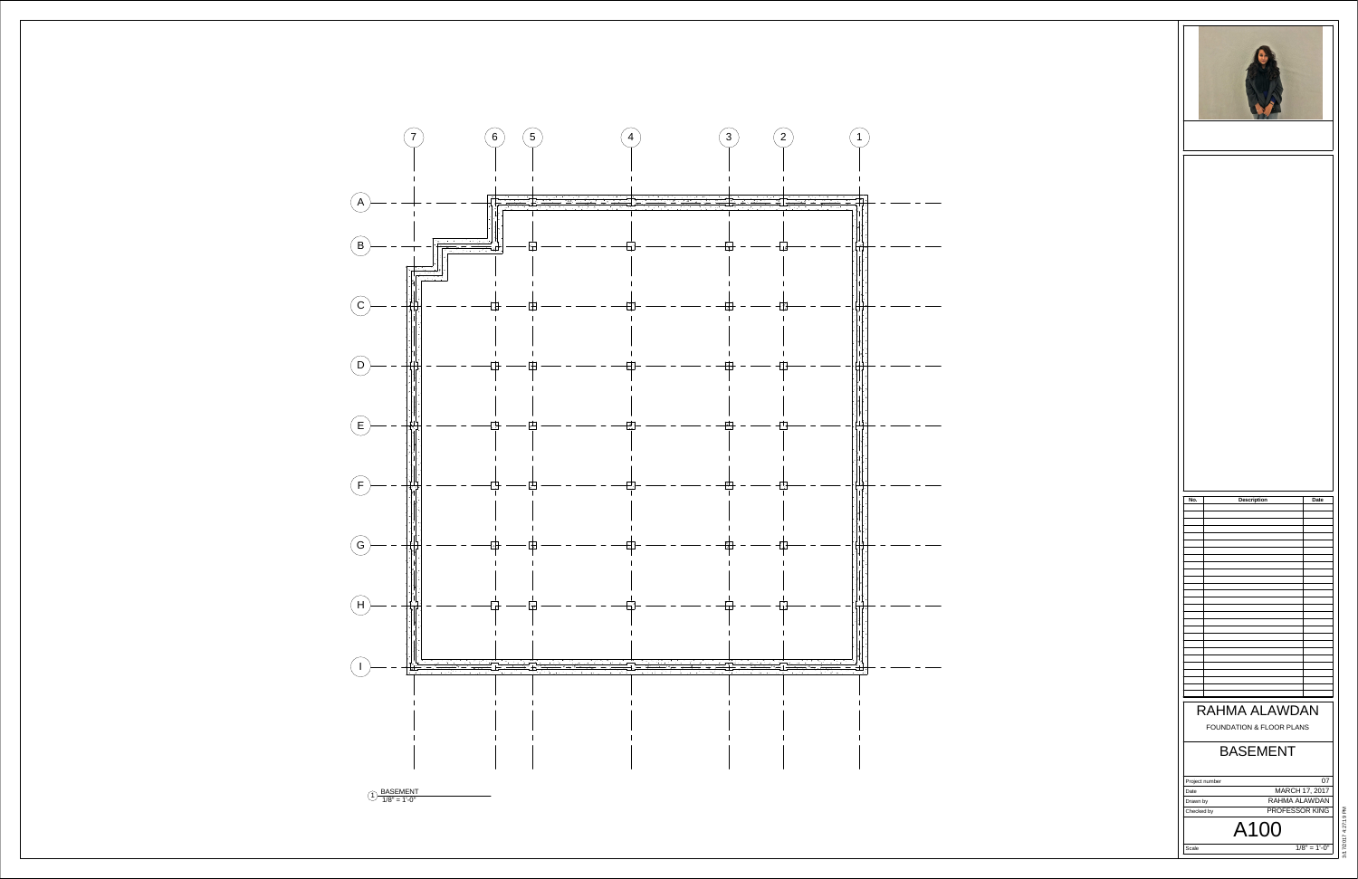Scale Project numberDateDrawn by Checked by  $1/8" = 1'-0"$ A100 07 MARCH 17, 2017 RAHMA ALAWDANPROFESSOR KING





### BASEMENTFOUNDATION & FLOOR PLANS RAHMA ALAWDAN**No. Description Date**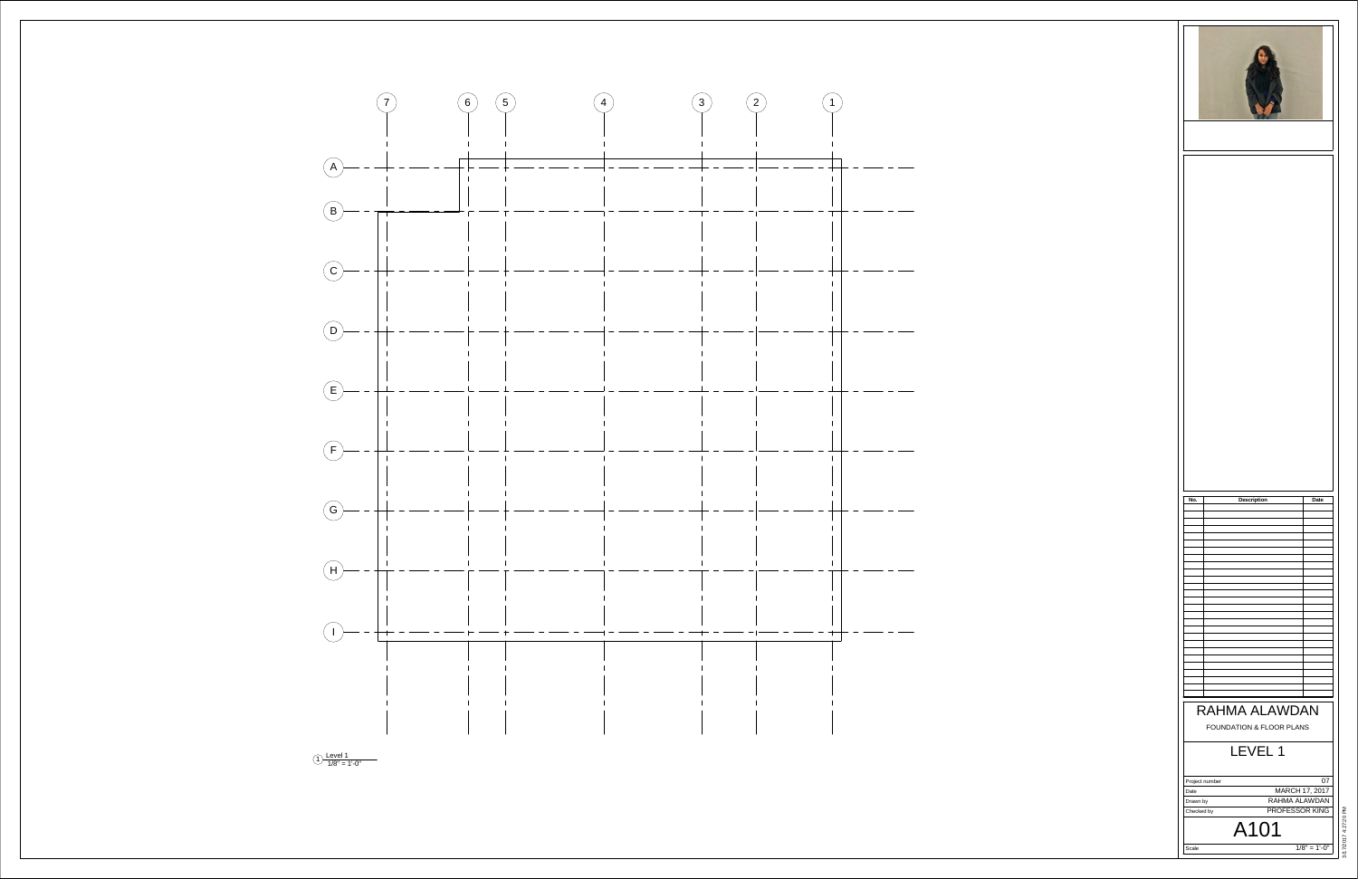Scale

 $1/8" = 1'-0"$ 





Project numberDateDrawn by Checked by A101  $07$  MARCH 17, 2017 RAHMA ALAWDANPROFESSOR KING

# LEVEL 1FOUNDATION & FLOOR PLANS RAHMA ALAWDAN**No. Description Date**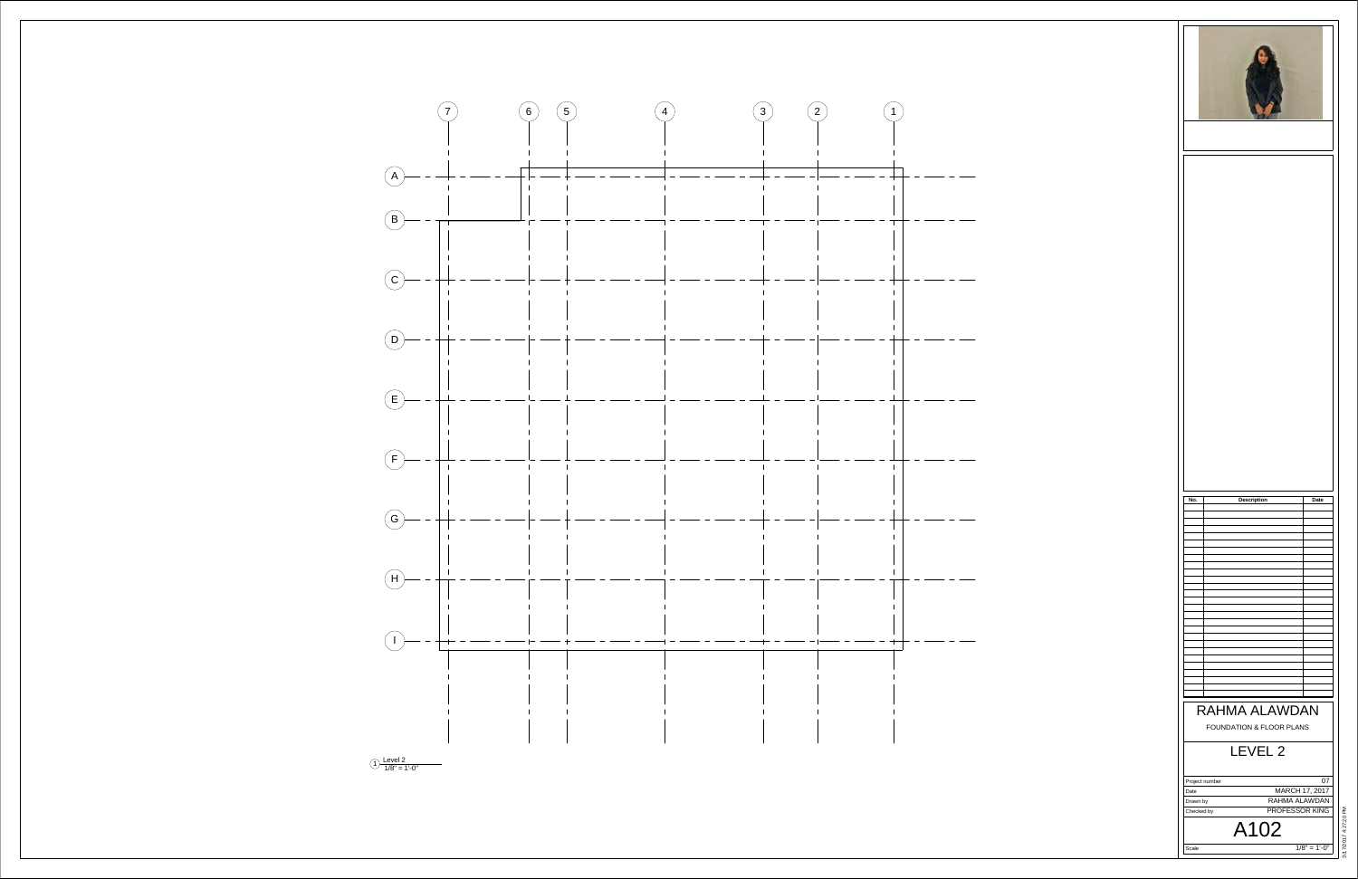Scale

 $1/8" = 1'-0"$ 



Project numberDate Drawn byChecked by A102  $07$  MARCH 17, 2017 RAHMA ALAWDANPROFESSOR KING



## LEVEL 2FOUNDATION & FLOOR PLANS RAHMA ALAWDAN**No. Description Date**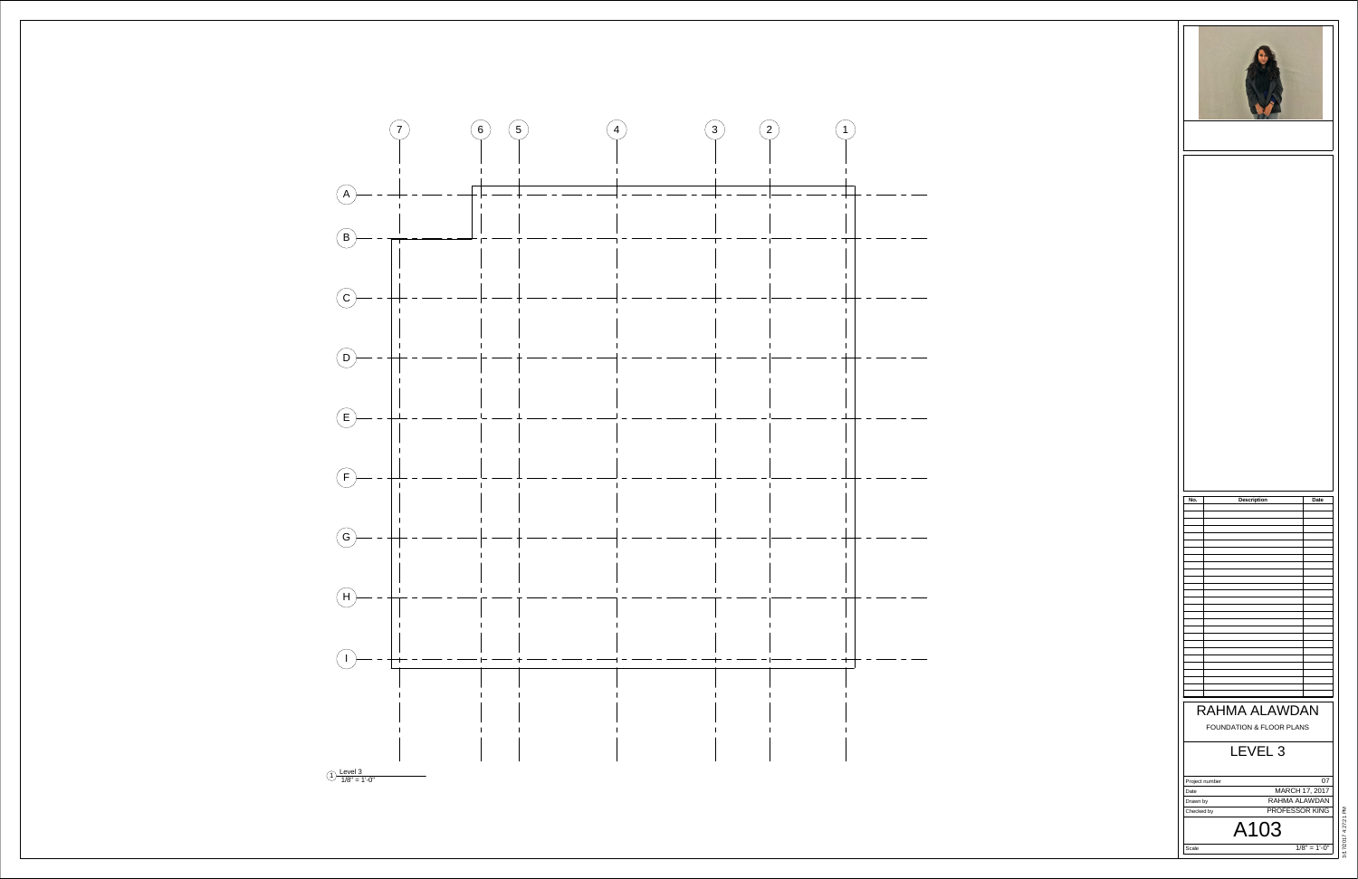



Scale Project numberDateDrawn by Checked by  $1/8" = 1'-0"$ A103  $|07|$  MARCH 17, 2017 RAHMA ALAWDANPROFESSOR KING



### LEVEL 3FOUNDATION & FLOOR PLANS RAHMA ALAWDAN**No. Description Date**